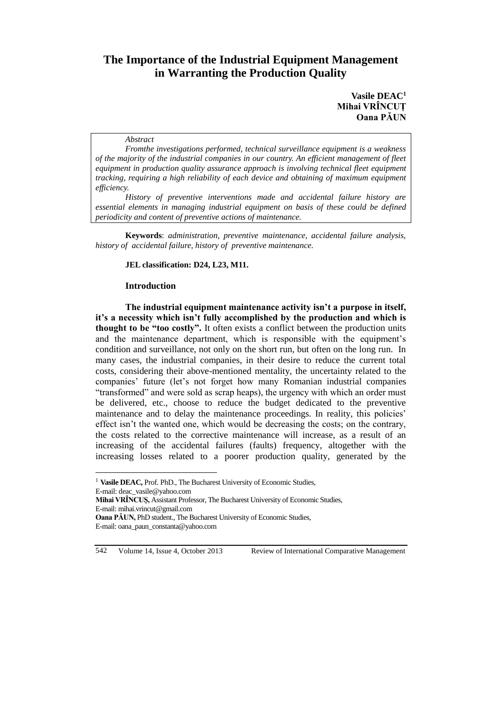# **The Importance of the Industrial Equipment Management in Warranting the Production Quality**

### **Vasile DEAC<sup>1</sup> Mihai VRÎNCUȚ Oana PĂUN**

#### *Abstract*

*Fromthe investigations performed, technical surveillance equipment is a weakness of the majority of the industrial companies in our country. An efficient management of fleet equipment in production quality assurance approach is involving technical fleet equipment tracking, requiring a high reliability of each device and obtaining of maximum equipment efficiency.*

*History of preventive interventions made and accidental failure history are essential elements in managing industrial equipment on basis of these could be defined periodicity and content of preventive actions of maintenance.*

**Keywords**: *administration, preventive maintenance, accidental failure analysis, history of accidental failure, history of preventive maintenance.* 

#### **JEL classification: D24, L23, M11.**

#### **Introduction**

**The industrial equipment maintenance activity isn't a purpose in itself, it's a necessity which isn't fully accomplished by the production and which is thought to be "too costly".** It often exists a conflict between the production units and the maintenance department, which is responsible with the equipment's condition and surveillance, not only on the short run, but often on the long run. In many cases, the industrial companies, in their desire to reduce the current total costs, considering their above-mentioned mentality, the uncertainty related to the companies' future (let's not forget how many Romanian industrial companies "transformed" and were sold as scrap heaps), the urgency with which an order must be delivered, etc., choose to reduce the budget dedicated to the preventive maintenance and to delay the maintenance proceedings. In reality, this policies' effect isn't the wanted one, which would be decreasing the costs; on the contrary, the costs related to the corrective maintenance will increase, as a result of an increasing of the accidental failures (faults) frequency, altogether with the increasing losses related to a poorer production quality, generated by the

 $\overline{a}$ 

<sup>&</sup>lt;sup>1</sup> Vasile DEAC, Prof. PhD., The Bucharest University of Economic Studies, E-mail: deac\_vasile@yahoo.com **Mihai VRÎNCUŞ,** Assistant Professor, The Bucharest University of Economic Studies, E-mail: mihai.vrincut@gmail.com **Oana PĂUN,** PhD student., The Bucharest University of Economic Studies, E-mail: oana\_paun\_constanta@yahoo.com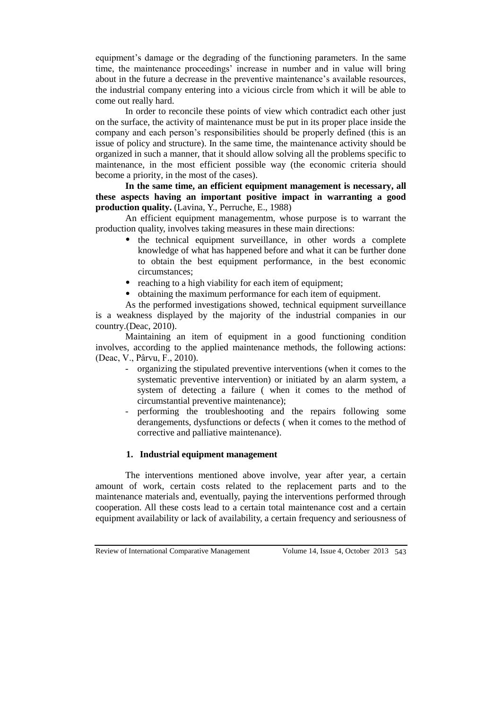equipment's damage or the degrading of the functioning parameters. In the same time, the maintenance proceedings' increase in number and in value will bring about in the future a decrease in the preventive maintenance's available resources, the industrial company entering into a vicious circle from which it will be able to come out really hard.

In order to reconcile these points of view which contradict each other just on the surface, the activity of maintenance must be put in its proper place inside the company and each person's responsibilities should be properly defined (this is an issue of policy and structure). In the same time, the maintenance activity should be organized in such a manner, that it should allow solving all the problems specific to maintenance, in the most efficient possible way (the economic criteria should become a priority, in the most of the cases).

**In the same time, an efficient equipment management is necessary, all these aspects having an important positive impact in warranting a good production quality.** (Lavina, Y., Perruche, E., 1988)

An efficient equipment managementm, whose purpose is to warrant the production quality, involves taking measures in these main directions:

- the technical equipment surveillance, in other words a complete knowledge of what has happened before and what it can be further done to obtain the best equipment performance, in the best economic circumstances;
- reaching to a high viability for each item of equipment;
- obtaining the maximum performance for each item of equipment.

As the performed investigations showed, technical equipment surveillance is a weakness displayed by the majority of the industrial companies in our country.(Deac, 2010).

Maintaining an item of equipment in a good functioning condition involves, according to the applied maintenance methods, the following actions: (Deac, V., Pârvu, F., 2010).

- organizing the stipulated preventive interventions (when it comes to the systematic preventive intervention) or initiated by an alarm system, a system of detecting a failure ( when it comes to the method of circumstantial preventive maintenance);
- performing the troubleshooting and the repairs following some derangements, dysfunctions or defects ( when it comes to the method of corrective and palliative maintenance).

### **1. Industrial equipment management**

The interventions mentioned above involve, year after year, a certain amount of work, certain costs related to the replacement parts and to the maintenance materials and, eventually, paying the interventions performed through cooperation. All these costs lead to a certain total maintenance cost and a certain equipment availability or lack of availability, a certain frequency and seriousness of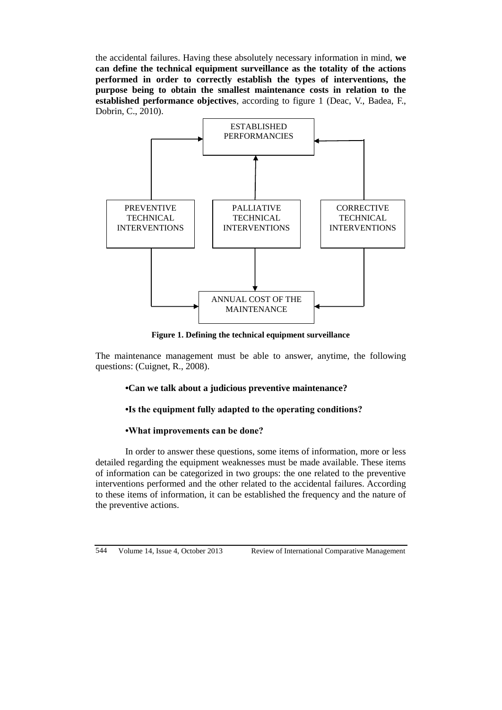the accidental failures. Having these absolutely necessary information in mind, **we can define the technical equipment surveillance as the totality of the actions performed in order to correctly establish the types of interventions, the purpose being to obtain the smallest maintenance costs in relation to the established performance objectives**, according to figure 1 (Deac, V., Badea, F., Dobrin, C., 2010).



**Figure 1. Defining the technical equipment surveillance**

The maintenance management must be able to answer, anytime, the following questions: (Cuignet, R., 2008).

### **•Can we talk about a judicious preventive maintenance?**

#### **•Is the equipment fully adapted to the operating conditions?**

#### **•What improvements can be done?**

In order to answer these questions, some items of information, more or less detailed regarding the equipment weaknesses must be made available. These items of information can be categorized in two groups: the one related to the preventive interventions performed and the other related to the accidental failures. According to these items of information, it can be established the frequency and the nature of the preventive actions.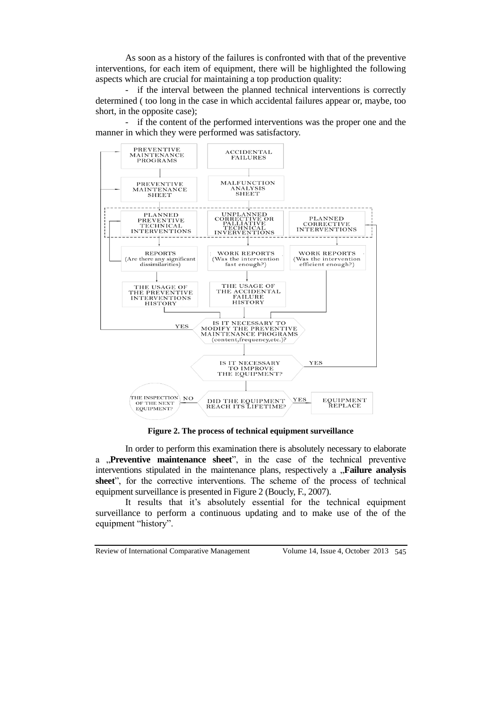As soon as a history of the failures is confronted with that of the preventive interventions, for each item of equipment, there will be highlighted the following aspects which are crucial for maintaining a top production quality:

- if the interval between the planned technical interventions is correctly determined ( too long in the case in which accidental failures appear or, maybe, too short, in the opposite case);



- if the content of the performed interventions was the proper one and the manner in which they were performed was satisfactory.

**Figure 2. The process of technical equipment surveillance**

In order to perform this examination there is absolutely necessary to elaborate a **, Preventive maintenance sheet**", in the case of the technical preventive interventions stipulated in the maintenance plans, respectively a **"Failure analysis sheet**", for the corrective interventions. The scheme of the process of technical equipment surveillance is presented in Figure 2 (Boucly, F., 2007).

It results that it's absolutely essential for the technical equipment surveillance to perform a continuous updating and to make use of the of the equipment "history".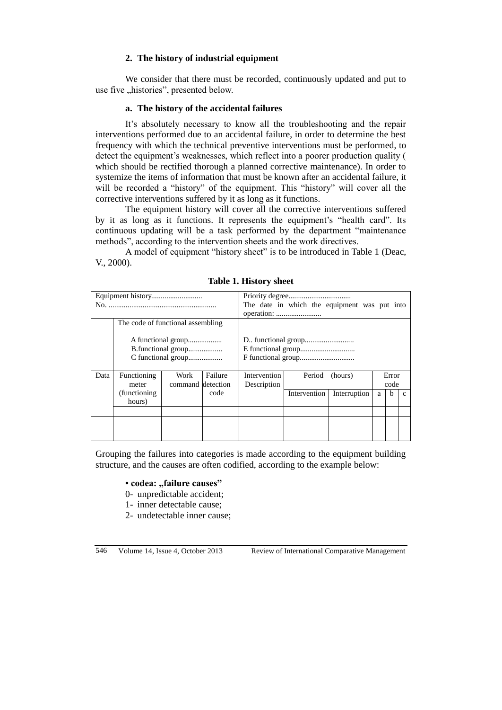## **2. The history of industrial equipment**

We consider that there must be recorded, continuously updated and put to use five "histories", presented below.

## **a. The history of the accidental failures**

It's absolutely necessary to know all the troubleshooting and the repair interventions performed due to an accidental failure, in order to determine the best frequency with which the technical preventive interventions must be performed, to detect the equipment's weaknesses, which reflect into a poorer production quality ( which should be rectified thorough a planned corrective maintenance). In order to systemize the items of information that must be known after an accidental failure, it will be recorded a "history" of the equipment. This "history" will cover all the corrective interventions suffered by it as long as it functions.

The equipment history will cover all the corrective interventions suffered by it as long as it functions. It represents the equipment's "health card". Its continuous updating will be a task performed by the department "maintenance methods", according to the intervention sheets and the work directives.

A model of equipment "history sheet" is to be introduced in Table 1 (Deac, V., 2000).

|      |                                   |                    |         |              |              | The date in which the equipment was put into |   |       |   |
|------|-----------------------------------|--------------------|---------|--------------|--------------|----------------------------------------------|---|-------|---|
|      |                                   |                    |         |              |              |                                              |   |       |   |
|      | The code of functional assembling |                    |         |              |              |                                              |   |       |   |
|      |                                   | B.functional group |         |              |              |                                              |   |       |   |
|      |                                   | C functional group |         |              |              |                                              |   |       |   |
|      |                                   |                    |         |              |              |                                              |   |       |   |
| Data | Functioning                       | Work               | Failure | Intervention | Period       | (hours)                                      |   | Error |   |
|      | meter                             | command detection  |         | Description  |              |                                              |   | code  |   |
|      | (functioning)                     |                    | code    |              | Intervention | Interruption                                 | a | h     | C |
|      | hours)                            |                    |         |              |              |                                              |   |       |   |
|      |                                   |                    |         |              |              |                                              |   |       |   |
|      |                                   |                    |         |              |              |                                              |   |       |   |
|      |                                   |                    |         |              |              |                                              |   |       |   |
|      |                                   |                    |         |              |              |                                              |   |       |   |

**Table 1. History sheet**

Grouping the failures into categories is made according to the equipment building structure, and the causes are often codified, according to the example below:

### • codea: "failure causes"

- 0- unpredictable accident;
- 1- inner detectable cause;
- 2- undetectable inner cause;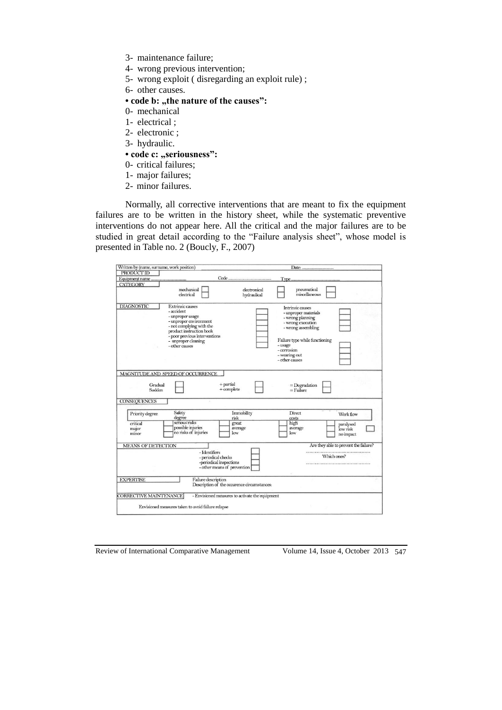- 3- maintenance failure;
- 4- wrong previous intervention;
- 5- wrong exploit ( disregarding an exploit rule) ;
- 6- other causes.

# • code **b**: "the nature of the causes":

- 0- mechanical
- 1- electrical ;
- 2- electronic ;
- 3- hydraulic.

#### • code c: "seriousness":

- 0- critical failures;
- 1- major failures;
- 2- minor failures.

Normally, all corrective interventions that are meant to fix the equipment failures are to be written in the history sheet, while the systematic preventive interventions do not appear here. All the critical and the major failures are to be studied in great detail according to the "Failure analysis sheet", whose model is presented in Table no. 2 (Boucly, F., 2007)

| <b>CATEGORY</b><br>mechanical<br>pneumatical<br>electronical<br>miscellaneous<br>electrical<br>hydraulical<br><b>DIAGNOSTIC</b><br><b>Extrinsic causes</b><br>Intrinsic causes<br>- accident<br>- unproper materials<br>- unproper usage<br>- wrong planning<br>- unproper environment<br>- wrong execution<br>- not complying with the<br>- wrong assembling<br>product instruction book<br>- poor previous interventions<br>Failure type while functioning<br>- unproper cleaning<br>- usage<br>- other causes<br>- corrosion<br>- wearing out<br>- other causes<br>MAGNITUDE AND SPEED OF OCCURRENCE<br>$+$ partial<br>Gradual<br>$=$ Degradation<br>= Failure<br>$+$ complete<br>Sudden<br><b>CONSEQUENCES</b><br>Safety<br>Immobility<br>Direct<br>Priority degree<br>Work flow<br>degree<br>risk<br>costs<br>serious risks<br>high<br>critical<br>great<br>paralysed<br>possible injuries<br>average<br>average<br>major<br>low risk<br>no risks of injuries<br>low<br>low<br>minor<br>no impact<br>Are they able to prevent the failure?<br><b>MEANS OF DETECTION</b><br>- Identifiers<br>Which ones?<br>- periodical checks<br>-periodical inspections<br>- other means of prevention<br><b>EXPERTISE</b><br>Failure description<br>Description of the occurence circumstances: | Written by (name, surname, work position)<br>PRODUCT ID |  |  |
|-----------------------------------------------------------------------------------------------------------------------------------------------------------------------------------------------------------------------------------------------------------------------------------------------------------------------------------------------------------------------------------------------------------------------------------------------------------------------------------------------------------------------------------------------------------------------------------------------------------------------------------------------------------------------------------------------------------------------------------------------------------------------------------------------------------------------------------------------------------------------------------------------------------------------------------------------------------------------------------------------------------------------------------------------------------------------------------------------------------------------------------------------------------------------------------------------------------------------------------------------------------------------------------------|---------------------------------------------------------|--|--|
|                                                                                                                                                                                                                                                                                                                                                                                                                                                                                                                                                                                                                                                                                                                                                                                                                                                                                                                                                                                                                                                                                                                                                                                                                                                                                         |                                                         |  |  |
|                                                                                                                                                                                                                                                                                                                                                                                                                                                                                                                                                                                                                                                                                                                                                                                                                                                                                                                                                                                                                                                                                                                                                                                                                                                                                         |                                                         |  |  |
|                                                                                                                                                                                                                                                                                                                                                                                                                                                                                                                                                                                                                                                                                                                                                                                                                                                                                                                                                                                                                                                                                                                                                                                                                                                                                         |                                                         |  |  |
|                                                                                                                                                                                                                                                                                                                                                                                                                                                                                                                                                                                                                                                                                                                                                                                                                                                                                                                                                                                                                                                                                                                                                                                                                                                                                         |                                                         |  |  |
|                                                                                                                                                                                                                                                                                                                                                                                                                                                                                                                                                                                                                                                                                                                                                                                                                                                                                                                                                                                                                                                                                                                                                                                                                                                                                         |                                                         |  |  |
|                                                                                                                                                                                                                                                                                                                                                                                                                                                                                                                                                                                                                                                                                                                                                                                                                                                                                                                                                                                                                                                                                                                                                                                                                                                                                         |                                                         |  |  |
|                                                                                                                                                                                                                                                                                                                                                                                                                                                                                                                                                                                                                                                                                                                                                                                                                                                                                                                                                                                                                                                                                                                                                                                                                                                                                         |                                                         |  |  |
|                                                                                                                                                                                                                                                                                                                                                                                                                                                                                                                                                                                                                                                                                                                                                                                                                                                                                                                                                                                                                                                                                                                                                                                                                                                                                         |                                                         |  |  |
|                                                                                                                                                                                                                                                                                                                                                                                                                                                                                                                                                                                                                                                                                                                                                                                                                                                                                                                                                                                                                                                                                                                                                                                                                                                                                         |                                                         |  |  |
| - Envisioned measures to activate the equipment                                                                                                                                                                                                                                                                                                                                                                                                                                                                                                                                                                                                                                                                                                                                                                                                                                                                                                                                                                                                                                                                                                                                                                                                                                         | <b>CORRECTIVE MAINTENANCE</b>                           |  |  |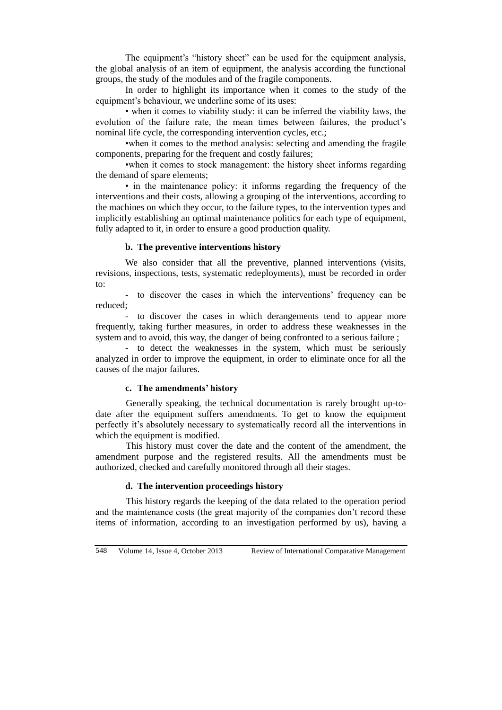The equipment's "history sheet" can be used for the equipment analysis, the global analysis of an item of equipment, the analysis according the functional groups, the study of the modules and of the fragile components.

In order to highlight its importance when it comes to the study of the equipment's behaviour, we underline some of its uses:

• when it comes to viability study: it can be inferred the viability laws, the evolution of the failure rate, the mean times between failures, the product's nominal life cycle, the corresponding intervention cycles, etc.;

•when it comes to the method analysis: selecting and amending the fragile components, preparing for the frequent and costly failures;

•when it comes to stock management: the history sheet informs regarding the demand of spare elements;

• in the maintenance policy: it informs regarding the frequency of the interventions and their costs, allowing a grouping of the interventions, according to the machines on which they occur, to the failure types, to the intervention types and implicitly establishing an optimal maintenance politics for each type of equipment, fully adapted to it, in order to ensure a good production quality.

### **b. The preventive interventions history**

We also consider that all the preventive, planned interventions (visits, revisions, inspections, tests, systematic redeployments), must be recorded in order to:

- to discover the cases in which the interventions' frequency can be reduced;

- to discover the cases in which derangements tend to appear more frequently, taking further measures, in order to address these weaknesses in the system and to avoid, this way, the danger of being confronted to a serious failure ;

- to detect the weaknesses in the system, which must be seriously analyzed in order to improve the equipment, in order to eliminate once for all the causes of the major failures.

#### **c. The amendments' history**

Generally speaking, the technical documentation is rarely brought up-todate after the equipment suffers amendments. To get to know the equipment perfectly it's absolutely necessary to systematically record all the interventions in which the equipment is modified.

This history must cover the date and the content of the amendment, the amendment purpose and the registered results. All the amendments must be authorized, checked and carefully monitored through all their stages.

### **d. The intervention proceedings history**

This history regards the keeping of the data related to the operation period and the maintenance costs (the great majority of the companies don't record these items of information, according to an investigation performed by us), having a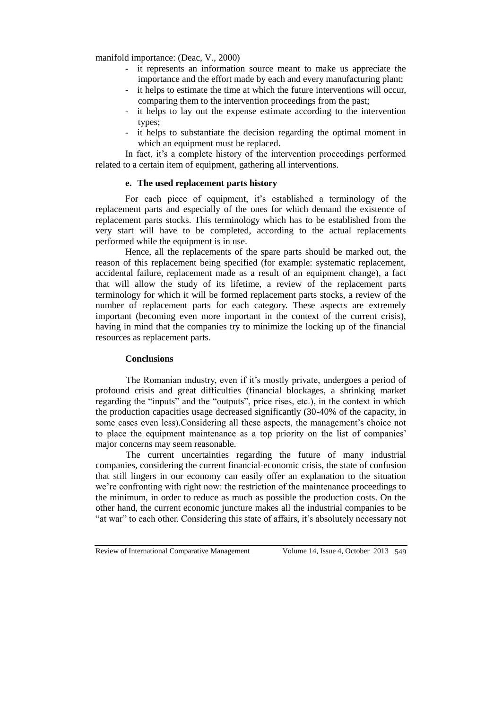manifold importance: (Deac, V., 2000)

- it represents an information source meant to make us appreciate the importance and the effort made by each and every manufacturing plant;
- it helps to estimate the time at which the future interventions will occur, comparing them to the intervention proceedings from the past;
- it helps to lay out the expense estimate according to the intervention types;
- it helps to substantiate the decision regarding the optimal moment in which an equipment must be replaced.

In fact, it's a complete history of the intervention proceedings performed related to a certain item of equipment, gathering all interventions.

### **e. The used replacement parts history**

For each piece of equipment, it's established a terminology of the replacement parts and especially of the ones for which demand the existence of replacement parts stocks. This terminology which has to be established from the very start will have to be completed, according to the actual replacements performed while the equipment is in use.

Hence, all the replacements of the spare parts should be marked out, the reason of this replacement being specified (for example: systematic replacement, accidental failure, replacement made as a result of an equipment change), a fact that will allow the study of its lifetime, a review of the replacement parts terminology for which it will be formed replacement parts stocks, a review of the number of replacement parts for each category. These aspects are extremely important (becoming even more important in the context of the current crisis), having in mind that the companies try to minimize the locking up of the financial resources as replacement parts.

#### **Conclusions**

The Romanian industry, even if it's mostly private, undergoes a period of profound crisis and great difficulties (financial blockages, a shrinking market regarding the "inputs" and the "outputs", price rises, etc.), in the context in which the production capacities usage decreased significantly (30-40% of the capacity, in some cases even less).Considering all these aspects, the management's choice not to place the equipment maintenance as a top priority on the list of companies' major concerns may seem reasonable.

The current uncertainties regarding the future of many industrial companies, considering the current financial-economic crisis, the state of confusion that still lingers in our economy can easily offer an explanation to the situation we're confronting with right now: the restriction of the maintenance proceedings to the minimum, in order to reduce as much as possible the production costs. On the other hand, the current economic juncture makes all the industrial companies to be "at war" to each other. Considering this state of affairs, it's absolutely necessary not